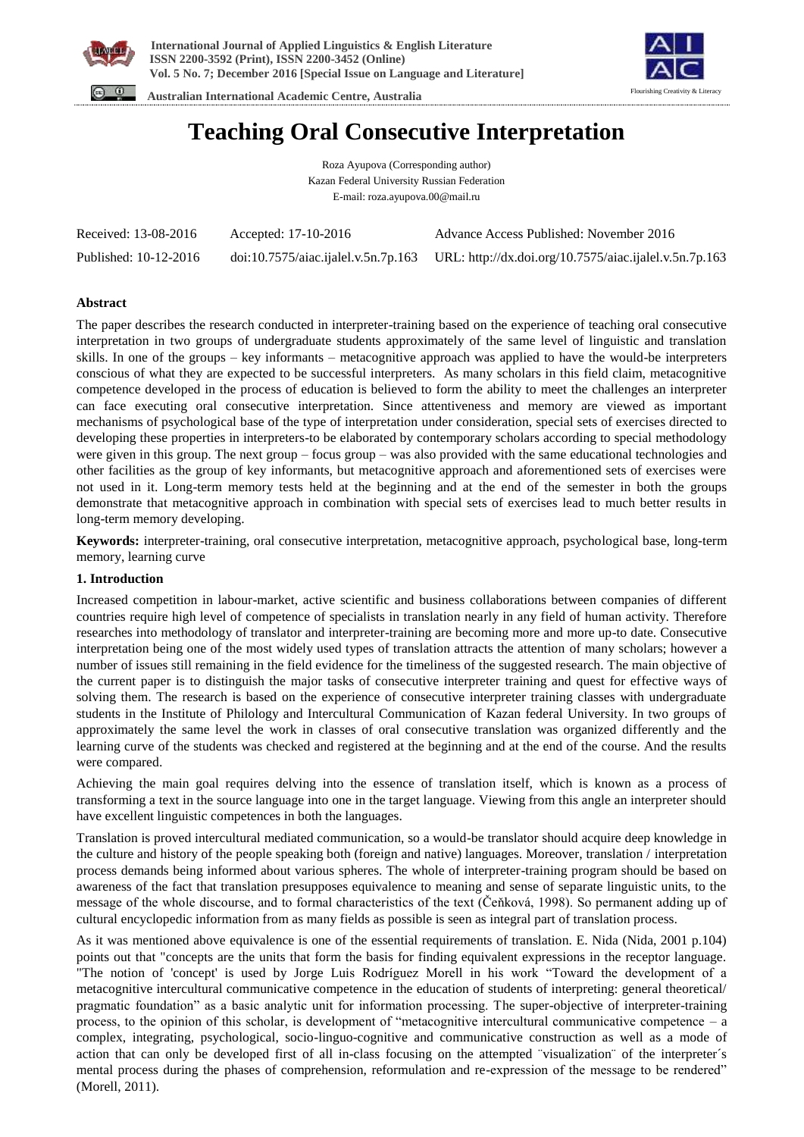



 **Australian International Academic Centre, Australia** 

# **Teaching Oral Consecutive Interpretation**

Roza Ayupova (Corresponding author) Kazan Federal University Russian Federation E-mail: roza.ayupova.00@mail.ru

| Received: 13-08-2016  | Accepted: 17-10-2016 | Advance Access Published: November 2016                                                                   |
|-----------------------|----------------------|-----------------------------------------------------------------------------------------------------------|
| Published: 10-12-2016 |                      | $\frac{1}{10}$ doi:10.7575/aiac.ijalel.v.5n.7p.163 URL: http://dx.doi.org/10.7575/aiac.ijalel.v.5n.7p.163 |

# **Abstract**

The paper describes the research conducted in interpreter-training based on the experience of teaching oral consecutive interpretation in two groups of undergraduate students approximately of the same level of linguistic and translation skills. In one of the groups – key informants – metacognitive approach was applied to have the would-be interpreters conscious of what they are expected to be successful interpreters. As many scholars in this field claim, metacognitive competence developed in the process of education is believed to form the ability to meet the challenges an interpreter can face executing oral consecutive interpretation. Since attentiveness and memory are viewed as important mechanisms of psychological base of the type of interpretation under consideration, special sets of exercises directed to developing these properties in interpreters-to be elaborated by contemporary scholars according to special methodology were given in this group. The next group – focus group – was also provided with the same educational technologies and other facilities as the group of key informants, but metacognitive approach and aforementioned sets of exercises were not used in it. Long-term memory tests held at the beginning and at the end of the semester in both the groups demonstrate that metacognitive approach in combination with special sets of exercises lead to much better results in long-term memory developing.

**Keywords:** interpreter-training, oral consecutive interpretation, metacognitive approach, psychological base, long-term memory, learning curve

## **1. Introduction**

Increased competition in labour-market, active scientific and business collaborations between companies of different countries require high level of competence of specialists in translation nearly in any field of human activity. Therefore researches into methodology of translator and interpreter-training are becoming more and more up-to date. Consecutive interpretation being one of the most widely used types of translation attracts the attention of many scholars; however a number of issues still remaining in the field evidence for the timeliness of the suggested research. The main objective of the current paper is to distinguish the major tasks of consecutive interpreter training and quest for effective ways of solving them. The research is based on the experience of consecutive interpreter training classes with undergraduate students in the Institute of Philology and Intercultural Communication of Kazan federal University. In two groups of approximately the same level the work in classes of oral consecutive translation was organized differently and the learning curve of the students was checked and registered at the beginning and at the end of the course. And the results were compared.

Achieving the main goal requires delving into the essence of translation itself, which is known as a process of transforming a text in the source language into one in the target language. Viewing from this angle an interpreter should have excellent linguistic competences in both the languages.

Translation is proved intercultural mediated communication, so a would-be translator should acquire deep knowledge in the culture and history of the people speaking both (foreign and native) languages. Moreover, translation / interpretation process demands being informed about various spheres. The whole of interpreter-training program should be based on awareness of the fact that translation presupposes equivalence to meaning and sense of separate linguistic units, to the message of the whole discourse, and to formal characteristics of the text (Čeňková, 1998). So permanent adding up of cultural encyclopedic information from as many fields as possible is seen as integral part of translation process.

As it was mentioned above equivalence is one of the essential requirements of translation. E. Nida (Nida, 2001 p.104) points out that "concepts are the units that form the basis for finding equivalent expressions in the receptor language. "The notion of 'concept' is used by Jorge Luis Rodríguez Morell in his work "Toward the development of a metacognitive intercultural communicative competence in the education of students of interpreting: general theoretical/ pragmatic foundation" as a basic analytic unit for information processing. The super-objective of interpreter-training process, to the opinion of this scholar, is development of "metacognitive intercultural communicative competence – a complex, integrating, psychological, socio-linguo-cognitive and communicative construction as well as a mode of action that can only be developed first of all in-class focusing on the attempted ¨visualization¨ of the interpreter´s mental process during the phases of comprehension, reformulation and re-expression of the message to be rendered" (Morell, 2011).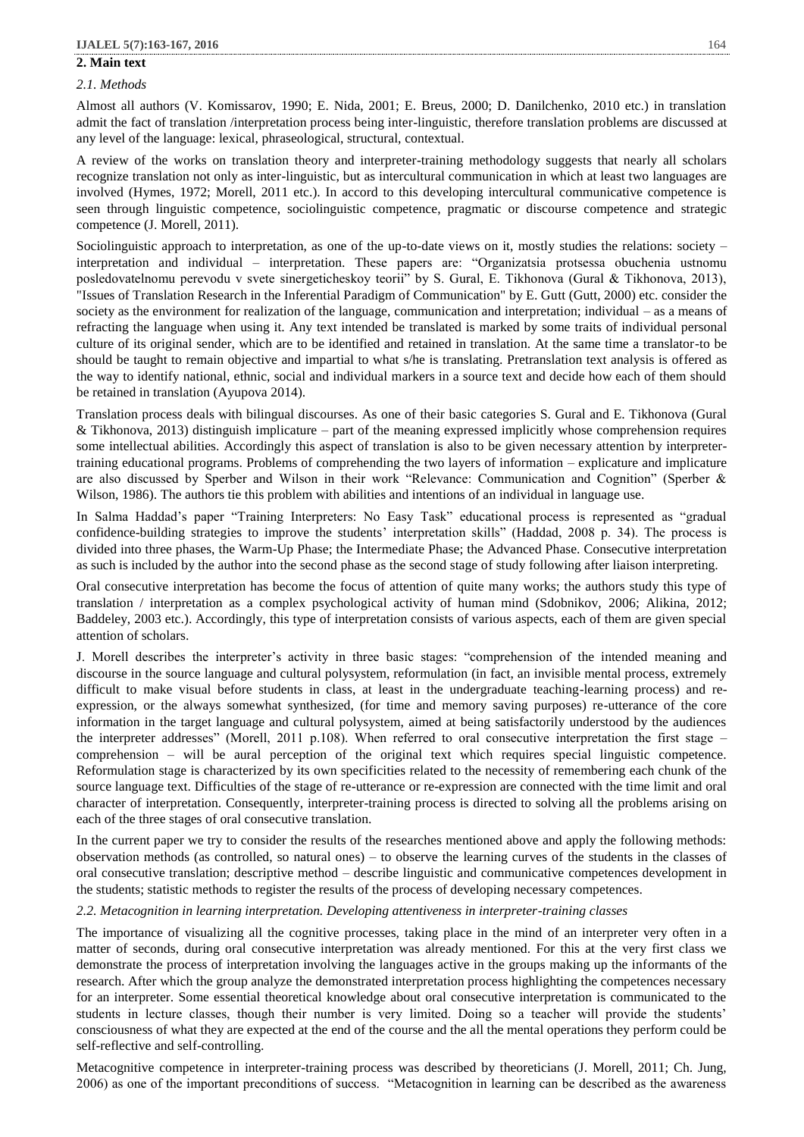# **2. Main text**

## *2.1. Methods*

Almost all authors (V. Komissarov, 1990; E. Nida, 2001; E. Breus, 2000; D. Danilchenko, 2010 etc.) in translation admit the fact of translation /interpretation process being inter-linguistic, therefore translation problems are discussed at any level of the language: lexical, phraseological, structural, contextual.

A review of the works on translation theory and interpreter-training methodology suggests that nearly all scholars recognize translation not only as inter-linguistic, but as intercultural communication in which at least two languages are involved (Hymes, 1972; Morell, 2011 etc.). In accord to this developing intercultural communicative competence is seen through linguistic competence, sociolinguistic competence, pragmatic or discourse competence and strategic competence (J. Morell, 2011).

Sociolinguistic approach to interpretation, as one of the up-to-date views on it, mostly studies the relations: society – interpretation and individual – interpretation. These papers are: "Organizatsia protsessa obuchenia ustnomu posledovatelnomu perevodu v svete sinergeticheskoy teorii" by S. Gural, E. Tikhonova (Gural & Tikhonova, 2013), "Issues of Translation Research in the Inferential Paradigm of Communication" by E. Gutt (Gutt, 2000) etc. consider the society as the environment for realization of the language, communication and interpretation; individual – as a means of refracting the language when using it. Any text intended be translated is marked by some traits of individual personal culture of its original sender, which are to be identified and retained in translation. At the same time a translator-to be should be taught to remain objective and impartial to what s/he is translating. Pretranslation text analysis is offered as the way to identify national, ethnic, social and individual markers in a source text and decide how each of them should be retained in translation (Ayupova 2014).

Translation process deals with bilingual discourses. As one of their basic categories S. Gural and E. Tikhonova (Gural & Tikhonova, 2013) distinguish implicature – part of the meaning expressed implicitly whose comprehension requires some intellectual abilities. Accordingly this aspect of translation is also to be given necessary attention by interpretertraining educational programs. Problems of comprehending the two layers of information – explicature and implicature are also discussed by Sperber and Wilson in their work "Relevance: Communication and Cognition" (Sperber & Wilson, 1986). The authors tie this problem with abilities and intentions of an individual in language use.

In Salma Haddad's paper "Training Interpreters: No Easy Task" educational process is represented as "gradual confidence-building strategies to improve the students' interpretation skills" (Haddad, 2008 p. 34). The process is divided into three phases, the Warm-Up Phase; the Intermediate Phase; the Advanced Phase. Consecutive interpretation as such is included by the author into the second phase as the second stage of study following after liaison interpreting.

Oral consecutive interpretation has become the focus of attention of quite many works; the authors study this type of translation / interpretation as a complex psychological activity of human mind (Sdobnikov, 2006; Alikina, 2012; Baddeley, 2003 etc.). Accordingly, this type of interpretation consists of various aspects, each of them are given special attention of scholars.

J. Morell describes the interpreter's activity in three basic stages: "comprehension of the intended meaning and discourse in the source language and cultural polysystem, reformulation (in fact, an invisible mental process, extremely difficult to make visual before students in class, at least in the undergraduate teaching-learning process) and reexpression, or the always somewhat synthesized, (for time and memory saving purposes) re-utterance of the core information in the target language and cultural polysystem, aimed at being satisfactorily understood by the audiences the interpreter addresses" (Morell, 2011 p.108). When referred to oral consecutive interpretation the first stage – comprehension – will be aural perception of the original text which requires special linguistic competence. Reformulation stage is characterized by its own specificities related to the necessity of remembering each chunk of the source language text. Difficulties of the stage of re-utterance or re-expression are connected with the time limit and oral character of interpretation. Consequently, interpreter-training process is directed to solving all the problems arising on each of the three stages of oral consecutive translation.

In the current paper we try to consider the results of the researches mentioned above and apply the following methods: observation methods (as controlled, so natural ones) – to observe the learning curves of the students in the classes of oral consecutive translation; descriptive method – describe linguistic and communicative competences development in the students; statistic methods to register the results of the process of developing necessary competences.

## *2.2. Metacognition in learning interpretation. Developing attentiveness in interpreter-training classes*

The importance of visualizing all the cognitive processes, taking place in the mind of an interpreter very often in a matter of seconds, during oral consecutive interpretation was already mentioned. For this at the very first class we demonstrate the process of interpretation involving the languages active in the groups making up the informants of the research. After which the group analyze the demonstrated interpretation process highlighting the competences necessary for an interpreter. Some essential theoretical knowledge about oral consecutive interpretation is communicated to the students in lecture classes, though their number is very limited. Doing so a teacher will provide the students' consciousness of what they are expected at the end of the course and the all the mental operations they perform could be self-reflective and self-controlling.

Metacognitive competence in interpreter-training process was described by theoreticians (J. Morell, 2011; Ch. Jung, 2006) as one of the important preconditions of success. "Metacognition in learning can be described as the awareness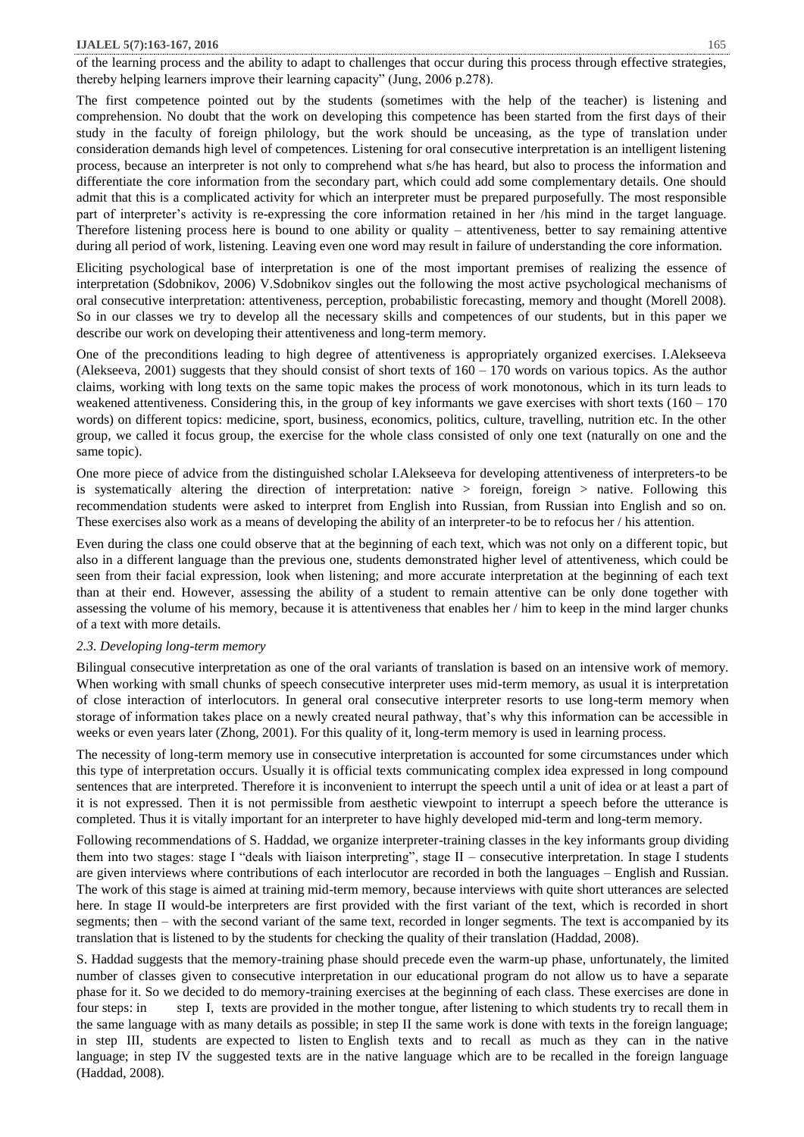#### **IJALEL 5(7):163-167, 2016** 165

of the learning process and the ability to adapt to challenges that occur during this process through effective strategies, thereby helping learners improve their learning capacity" (Jung, 2006 p.278).

The first competence pointed out by the students (sometimes with the help of the teacher) is listening and comprehension. No doubt that the work on developing this competence has been started from the first days of their study in the faculty of foreign philology, but the work should be unceasing, as the type of translation under consideration demands high level of competences. Listening for oral consecutive interpretation is an intelligent listening process, because an interpreter is not only to comprehend what s/he has heard, but also to process the information and differentiate the core information from the secondary part, which could add some complementary details. One should admit that this is a complicated activity for which an interpreter must be prepared purposefully. The most responsible part of interpreter's activity is re-expressing the core information retained in her /his mind in the target language. Therefore listening process here is bound to one ability or quality – attentiveness, better to say remaining attentive during all period of work, listening. Leaving even one word may result in failure of understanding the core information.

Eliciting psychological base of interpretation is one of the most important premises of realizing the essence of interpretation (Sdobnikov, 2006) V.Sdobnikov singles out the following the most active psychological mechanisms of oral consecutive interpretation: attentiveness, perception, probabilistic forecasting, memory and thought (Morell 2008). So in our classes we try to develop all the necessary skills and competences of our students, but in this paper we describe our work on developing their attentiveness and long-term memory.

One of the preconditions leading to high degree of attentiveness is appropriately organized exercises. I.Alekseeva (Alekseeva, 2001) suggests that they should consist of short texts of  $160 - 170$  words on various topics. As the author claims, working with long texts on the same topic makes the process of work monotonous, which in its turn leads to weakened attentiveness. Considering this, in the group of key informants we gave exercises with short texts (160 – 170 words) on different topics: medicine, sport, business, economics, politics, culture, travelling, nutrition etc. In the other group, we called it focus group, the exercise for the whole class consisted of only one text (naturally on one and the same topic).

One more piece of advice from the distinguished scholar I.Alekseeva for developing attentiveness of interpreters-to be is systematically altering the direction of interpretation: native > foreign, foreign > native. Following this recommendation students were asked to interpret from English into Russian, from Russian into English and so on. These exercises also work as a means of developing the ability of an interpreter-to be to refocus her / his attention.

Even during the class one could observe that at the beginning of each text, which was not only on a different topic, but also in a different language than the previous one, students demonstrated higher level of attentiveness, which could be seen from their facial expression, look when listening; and more accurate interpretation at the beginning of each text than at their end. However, assessing the ability of a student to remain attentive can be only done together with assessing the volume of his memory, because it is attentiveness that enables her / him to keep in the mind larger chunks of a text with more details.

#### *2.3. Developing long-term memory*

Bilingual consecutive interpretation as one of the oral variants of translation is based on an intensive work of memory. When working with small chunks of speech consecutive interpreter uses mid-term memory, as usual it is interpretation of close interaction of interlocutors. In general oral consecutive interpreter resorts to use long-term memory when storage of information takes place on a newly created neural pathway, that's why this information can be accessible in weeks or even years later (Zhong, 2001). For this quality of it, long-term memory is used in learning process.

The necessity of long-term memory use in consecutive interpretation is accounted for some circumstances under which this type of interpretation occurs. Usually it is official texts communicating complex idea expressed in long compound sentences that are interpreted. Therefore it is inconvenient to interrupt the speech until a unit of idea or at least a part of it is not expressed. Then it is not permissible from aesthetic viewpoint to interrupt a speech before the utterance is completed. Thus it is vitally important for an interpreter to have highly developed mid-term and long-term memory.

Following recommendations of S. Haddad, we organize interpreter-training classes in the key informants group dividing them into two stages: stage I "deals with liaison interpreting", stage II – consecutive interpretation. In stage I students are given interviews where contributions of each interlocutor are recorded in both the languages – English and Russian. The work of this stage is aimed at training mid-term memory, because interviews with quite short utterances are selected here. In stage II would-be interpreters are first provided with the first variant of the text, which is recorded in short segments; then – with the second variant of the same text, recorded in longer segments. The text is accompanied by its translation that is listened to by the students for checking the quality of their translation (Haddad, 2008).

S. Haddad suggests that the memory-training phase should precede even the warm-up phase, unfortunately, the limited number of classes given to consecutive interpretation in our educational program do not allow us to have a separate phase for it. So we decided to do memory-training exercises at the beginning of each class. These exercises are done in four steps: in step I, texts are provided in the mother tongue, after listening to which students try to recall them in the same language with as many details as possible; in step II the same work is done with texts in the foreign language; in step III, students are expected to listen to English texts and to recall as much as they can in the native language; in step IV the suggested texts are in the native language which are to be recalled in the foreign language (Haddad, 2008).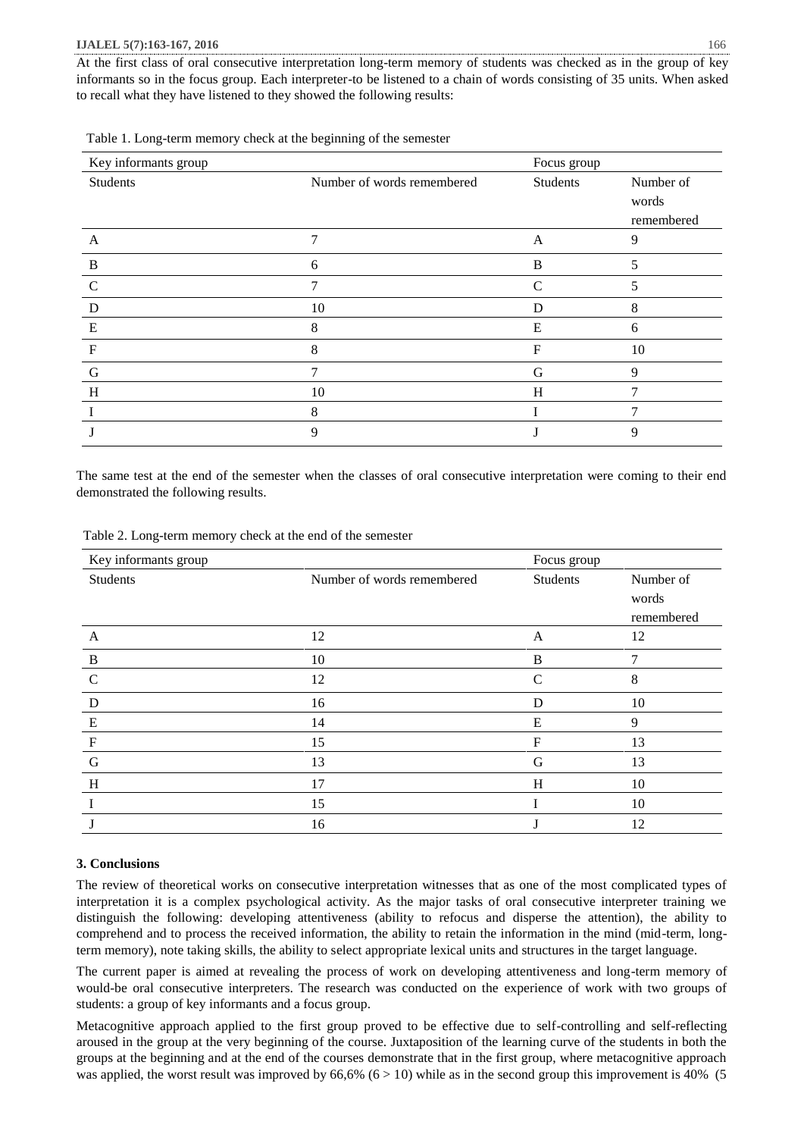#### **IJALEL 5(7):163-167, 2016** 166

At the first class of oral consecutive interpretation long-term memory of students was checked as in the group of key informants so in the focus group. Each interpreter-to be listened to a chain of words consisting of 35 units. When asked to recall what they have listened to they showed the following results:

| Key informants group |                            | Focus group |                                  |
|----------------------|----------------------------|-------------|----------------------------------|
| Students             | Number of words remembered | Students    | Number of<br>words<br>remembered |
| A                    | 7                          | A           | 9                                |
| $\bf{B}$             | 6                          | B           |                                  |
| $\mathcal{C}$        | 7                          | C           | C                                |
| D                    | 10                         | D           | 8                                |
| E                    | 8                          | E           | 6                                |
| $\mathbf F$          | 8                          | F           | 10                               |
| G                    | 7                          | G           | 9                                |
| H                    | 10                         | H           |                                  |
|                      | 8                          |             |                                  |
|                      | 9                          |             | 9                                |

Table 1. Long-term memory check at the beginning of the semester

The same test at the end of the semester when the classes of oral consecutive interpretation were coming to their end demonstrated the following results.

| Table 2. Long-term memory check at the end of the semester |  |  |
|------------------------------------------------------------|--|--|
|                                                            |  |  |

| Key informants group      |                            | Focus group   |            |
|---------------------------|----------------------------|---------------|------------|
| Students                  | Number of words remembered | Students      | Number of  |
|                           |                            |               | words      |
|                           |                            |               | remembered |
| A                         | 12                         | A             | 12         |
| $\bf{B}$                  | 10                         | B             | 7          |
| $\mathcal{C}$             | 12                         | $\mathcal{C}$ | 8          |
| D                         | 16                         | D             | 10         |
| E                         | 14                         | E             | 9          |
| $\boldsymbol{\mathrm{F}}$ | 15                         | F             | 13         |
| G                         | 13                         | G             | 13         |
| H                         | 17                         | H             | 10         |
|                           | 15                         |               | 10         |
|                           | 16                         |               | 12         |

### **3. Conclusions**

The review of theoretical works on consecutive interpretation witnesses that as one of the most complicated types of interpretation it is a complex psychological activity. As the major tasks of oral consecutive interpreter training we distinguish the following: developing attentiveness (ability to refocus and disperse the attention), the ability to comprehend and to process the received information, the ability to retain the information in the mind (mid-term, longterm memory), note taking skills, the ability to select appropriate lexical units and structures in the target language.

The current paper is aimed at revealing the process of work on developing attentiveness and long-term memory of would-be oral consecutive interpreters. The research was conducted on the experience of work with two groups of students: a group of key informants and a focus group.

Metacognitive approach applied to the first group proved to be effective due to self-controlling and self-reflecting aroused in the group at the very beginning of the course. Juxtaposition of the learning curve of the students in both the groups at the beginning and at the end of the courses demonstrate that in the first group, where metacognitive approach was applied, the worst result was improved by  $66,6\%$   $(6 > 10)$  while as in the second group this improvement is 40% (5